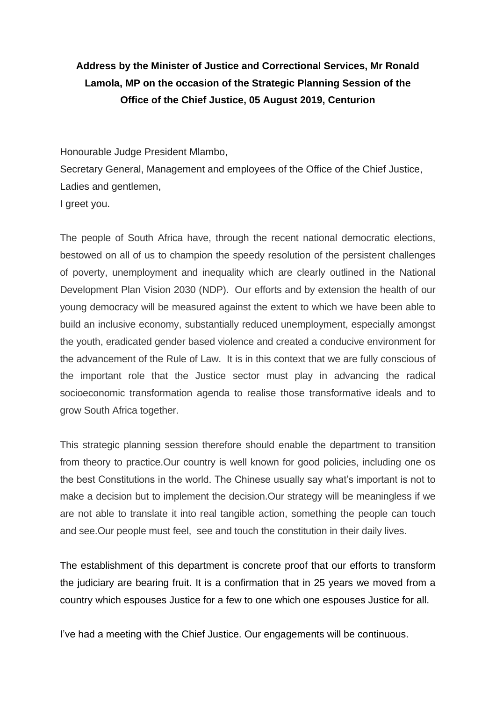# **Address by the Minister of Justice and Correctional Services, Mr Ronald Lamola, MP on the occasion of the Strategic Planning Session of the Office of the Chief Justice, 05 August 2019, Centurion**

Honourable Judge President Mlambo,

Secretary General, Management and employees of the Office of the Chief Justice, Ladies and gentlemen,

I greet you.

The people of South Africa have, through the recent national democratic elections, bestowed on all of us to champion the speedy resolution of the persistent challenges of poverty, unemployment and inequality which are clearly outlined in the National Development Plan Vision 2030 (NDP). Our efforts and by extension the health of our young democracy will be measured against the extent to which we have been able to build an inclusive economy, substantially reduced unemployment, especially amongst the youth, eradicated gender based violence and created a conducive environment for the advancement of the Rule of Law. It is in this context that we are fully conscious of the important role that the Justice sector must play in advancing the radical socioeconomic transformation agenda to realise those transformative ideals and to grow South Africa together.

This strategic planning session therefore should enable the department to transition from theory to practice.Our country is well known for good policies, including one os the best Constitutions in the world. The Chinese usually say what's important is not to make a decision but to implement the decision.Our strategy will be meaningless if we are not able to translate it into real tangible action, something the people can touch and see.Our people must feel, see and touch the constitution in their daily lives.

The establishment of this department is concrete proof that our efforts to transform the judiciary are bearing fruit. It is a confirmation that in 25 years we moved from a country which espouses Justice for a few to one which one espouses Justice for all.

I've had a meeting with the Chief Justice. Our engagements will be continuous.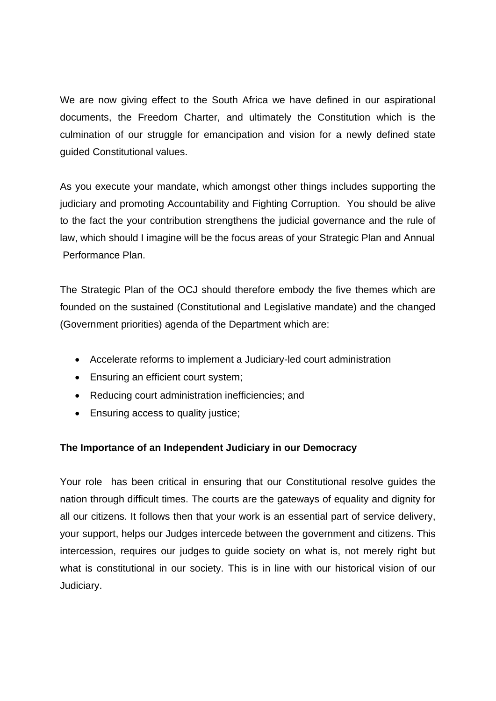We are now giving effect to the South Africa we have defined in our aspirational documents, the Freedom Charter, and ultimately the Constitution which is the culmination of our struggle for emancipation and vision for a newly defined state guided Constitutional values.

As you execute your mandate, which amongst other things includes supporting the judiciary and promoting Accountability and Fighting Corruption. You should be alive to the fact the your contribution strengthens the judicial governance and the rule of law, which should I imagine will be the focus areas of your Strategic Plan and Annual Performance Plan.

The Strategic Plan of the OCJ should therefore embody the five themes which are founded on the sustained (Constitutional and Legislative mandate) and the changed (Government priorities) agenda of the Department which are:

- Accelerate reforms to implement a Judiciary-led court administration
- Ensuring an efficient court system;
- Reducing court administration inefficiencies; and
- Ensuring access to quality justice;

# **The Importance of an Independent Judiciary in our Democracy**

Your role has been critical in ensuring that our Constitutional resolve guides the nation through difficult times. The courts are the gateways of equality and dignity for all our citizens. It follows then that your work is an essential part of service delivery, your support, helps our Judges intercede between the government and citizens. This intercession, requires our judges to guide society on what is, not merely right but what is constitutional in our society. This is in line with our historical vision of our Judiciary.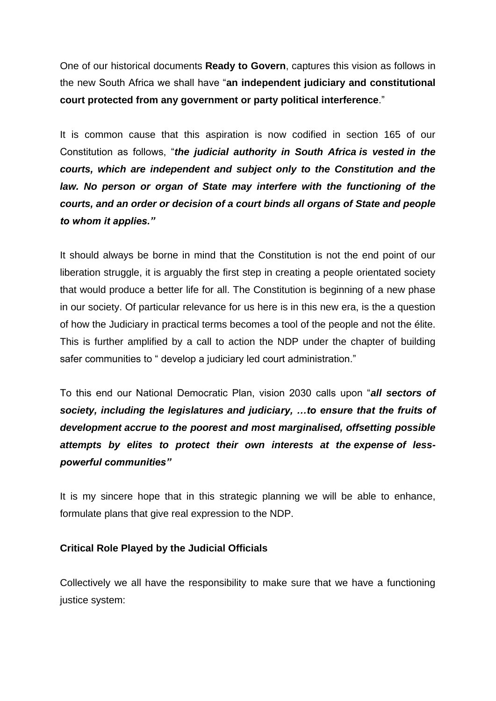One of our historical documents **Ready to Govern**, captures this vision as follows in the new South Africa we shall have "**an independent judiciary and constitutional court protected from any government or party political interference**."

It is common cause that this aspiration is now codified in section 165 of our Constitution as follows, "*the judicial authority in South Africa is vested in the courts, which are independent and subject only to the Constitution and the*  law. No person or organ of State may interfere with the functioning of the *courts, and an order or decision of a court binds all organs of State and people to whom it applies."*

It should always be borne in mind that the Constitution is not the end point of our liberation struggle, it is arguably the first step in creating a people orientated society that would produce a better life for all. The Constitution is beginning of a new phase in our society. Of particular relevance for us here is in this new era, is the a question of how the Judiciary in practical terms becomes a tool of the people and not the élite. This is further amplified by a call to action the NDP under the chapter of building safer communities to " develop a judiciary led court administration."

To this end our National Democratic Plan, vision 2030 calls upon "*all sectors of society, including the legislatures and judiciary, …to ensure that the fruits of development accrue to the poorest and most marginalised, offsetting possible attempts by elites to protect their own interests at the expense of lesspowerful communities"*

It is my sincere hope that in this strategic planning we will be able to enhance, formulate plans that give real expression to the NDP.

# **Critical Role Played by the Judicial Officials**

Collectively we all have the responsibility to make sure that we have a functioning justice system: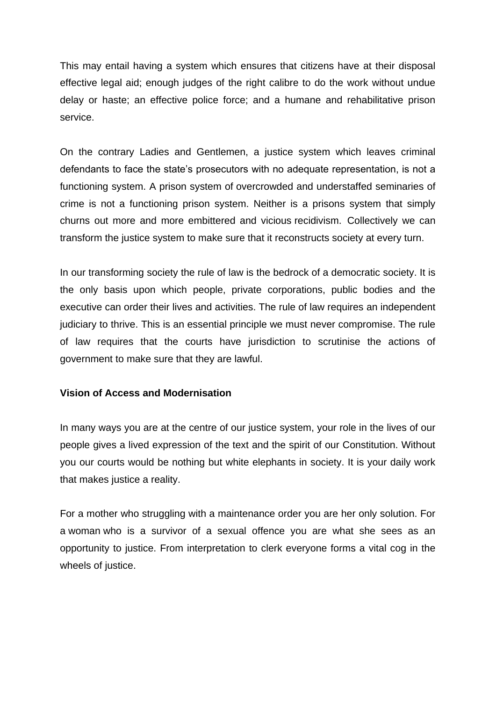This may entail having a system which ensures that citizens have at their disposal effective legal aid; enough judges of the right calibre to do the work without undue delay or haste; an effective police force; and a humane and rehabilitative prison service.

On the contrary Ladies and Gentlemen, a justice system which leaves criminal defendants to face the state's prosecutors with no adequate representation, is not a functioning system. A prison system of overcrowded and understaffed seminaries of crime is not a functioning prison system. Neither is a prisons system that simply churns out more and more embittered and vicious recidivism. Collectively we can transform the justice system to make sure that it reconstructs society at every turn.

In our transforming society the rule of law is the bedrock of a democratic society. It is the only basis upon which people, private corporations, public bodies and the executive can order their lives and activities. The rule of law requires an independent judiciary to thrive. This is an essential principle we must never compromise. The rule of law requires that the courts have jurisdiction to scrutinise the actions of government to make sure that they are lawful.

### **Vision of Access and Modernisation**

In many ways you are at the centre of our justice system, your role in the lives of our people gives a lived expression of the text and the spirit of our Constitution. Without you our courts would be nothing but white elephants in society. It is your daily work that makes justice a reality.

For a mother who struggling with a maintenance order you are her only solution. For a woman who is a survivor of a sexual offence you are what she sees as an opportunity to justice. From interpretation to clerk everyone forms a vital cog in the wheels of justice.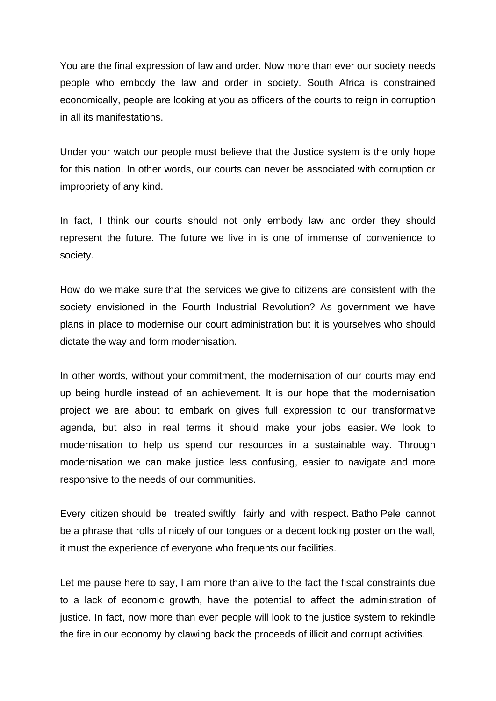You are the final expression of law and order. Now more than ever our society needs people who embody the law and order in society. South Africa is constrained economically, people are looking at you as officers of the courts to reign in corruption in all its manifestations.

Under your watch our people must believe that the Justice system is the only hope for this nation. In other words, our courts can never be associated with corruption or impropriety of any kind.

In fact, I think our courts should not only embody law and order they should represent the future. The future we live in is one of immense of convenience to society.

How do we make sure that the services we give to citizens are consistent with the society envisioned in the Fourth Industrial Revolution? As government we have plans in place to modernise our court administration but it is yourselves who should dictate the way and form modernisation.

In other words, without your commitment, the modernisation of our courts may end up being hurdle instead of an achievement. It is our hope that the modernisation project we are about to embark on gives full expression to our transformative agenda, but also in real terms it should make your jobs easier. We look to modernisation to help us spend our resources in a sustainable way. Through modernisation we can make justice less confusing, easier to navigate and more responsive to the needs of our communities.

Every citizen should be treated swiftly, fairly and with respect. Batho Pele cannot be a phrase that rolls of nicely of our tongues or a decent looking poster on the wall, it must the experience of everyone who frequents our facilities.

Let me pause here to say, I am more than alive to the fact the fiscal constraints due to a lack of economic growth, have the potential to affect the administration of justice. In fact, now more than ever people will look to the justice system to rekindle the fire in our economy by clawing back the proceeds of illicit and corrupt activities.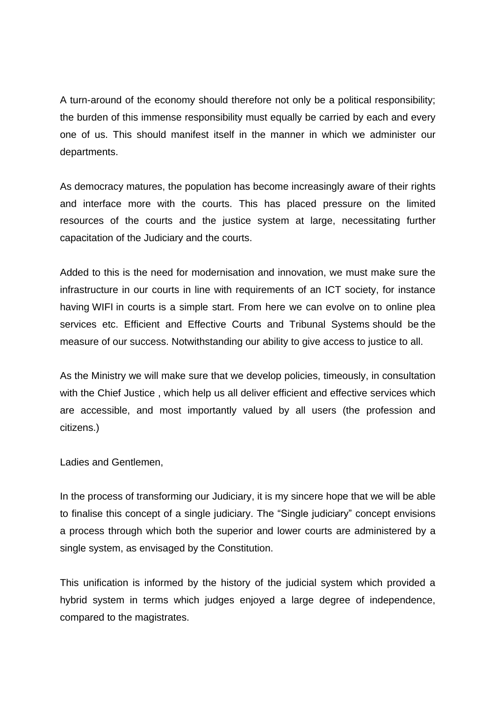A turn-around of the economy should therefore not only be a political responsibility; the burden of this immense responsibility must equally be carried by each and every one of us. This should manifest itself in the manner in which we administer our departments.

As democracy matures, the population has become increasingly aware of their rights and interface more with the courts. This has placed pressure on the limited resources of the courts and the justice system at large, necessitating further capacitation of the Judiciary and the courts.

Added to this is the need for modernisation and innovation, we must make sure the infrastructure in our courts in line with requirements of an ICT society, for instance having WIFI in courts is a simple start. From here we can evolve on to online plea services etc. Efficient and Effective Courts and Tribunal Systems should be the measure of our success. Notwithstanding our ability to give access to justice to all.

As the Ministry we will make sure that we develop policies, timeously, in consultation with the Chief Justice , which help us all deliver efficient and effective services which are accessible, and most importantly valued by all users (the profession and citizens.)

Ladies and Gentlemen,

In the process of transforming our Judiciary, it is my sincere hope that we will be able to finalise this concept of a single judiciary. The "Single judiciary" concept envisions a process through which both the superior and lower courts are administered by a single system, as envisaged by the Constitution.

This unification is informed by the history of the judicial system which provided a hybrid system in terms which judges enjoyed a large degree of independence, compared to the magistrates.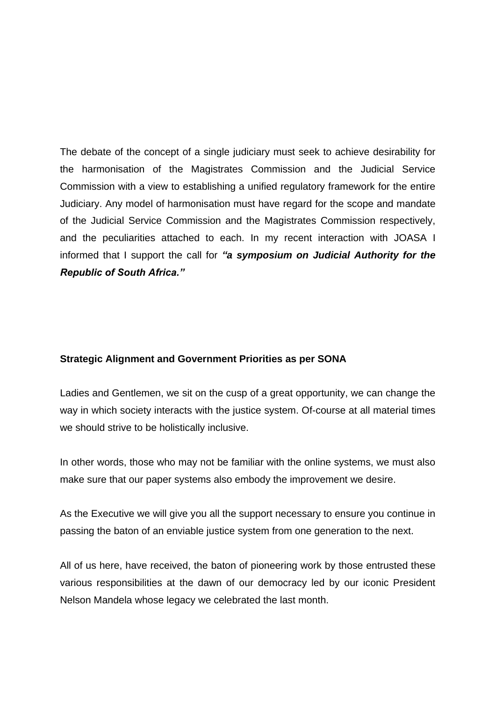The debate of the concept of a single judiciary must seek to achieve desirability for the harmonisation of the Magistrates Commission and the Judicial Service Commission with a view to establishing a unified regulatory framework for the entire Judiciary. Any model of harmonisation must have regard for the scope and mandate of the Judicial Service Commission and the Magistrates Commission respectively, and the peculiarities attached to each. In my recent interaction with JOASA I informed that I support the call for *"a symposium on Judicial Authority for the Republic of South Africa."*

### **Strategic Alignment and Government Priorities as per SONA**

Ladies and Gentlemen, we sit on the cusp of a great opportunity, we can change the way in which society interacts with the justice system. Of-course at all material times we should strive to be holistically inclusive.

In other words, those who may not be familiar with the online systems, we must also make sure that our paper systems also embody the improvement we desire.

As the Executive we will give you all the support necessary to ensure you continue in passing the baton of an enviable justice system from one generation to the next.

All of us here, have received, the baton of pioneering work by those entrusted these various responsibilities at the dawn of our democracy led by our iconic President Nelson Mandela whose legacy we celebrated the last month.